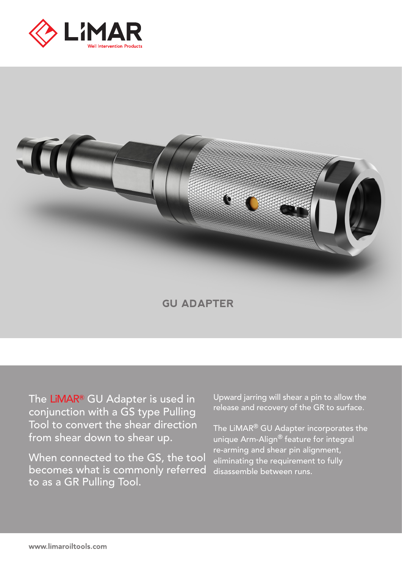



**GU ADAPTER**

The LiMAR**®** GU Adapter is used in conjunction with a GS type Pulling Tool to convert the shear direction from shear down to shear up.

When connected to the GS, the tool becomes what is commonly referred to as a GR Pulling Tool.

Upward jarring will shear a pin to allow the release and recovery of the GR to surface.

The LiMAR® GU Adapter incorporates the unique Arm-Align® feature for integral re-arming and shear pin alignment, eliminating the requirement to fully disassemble between runs.